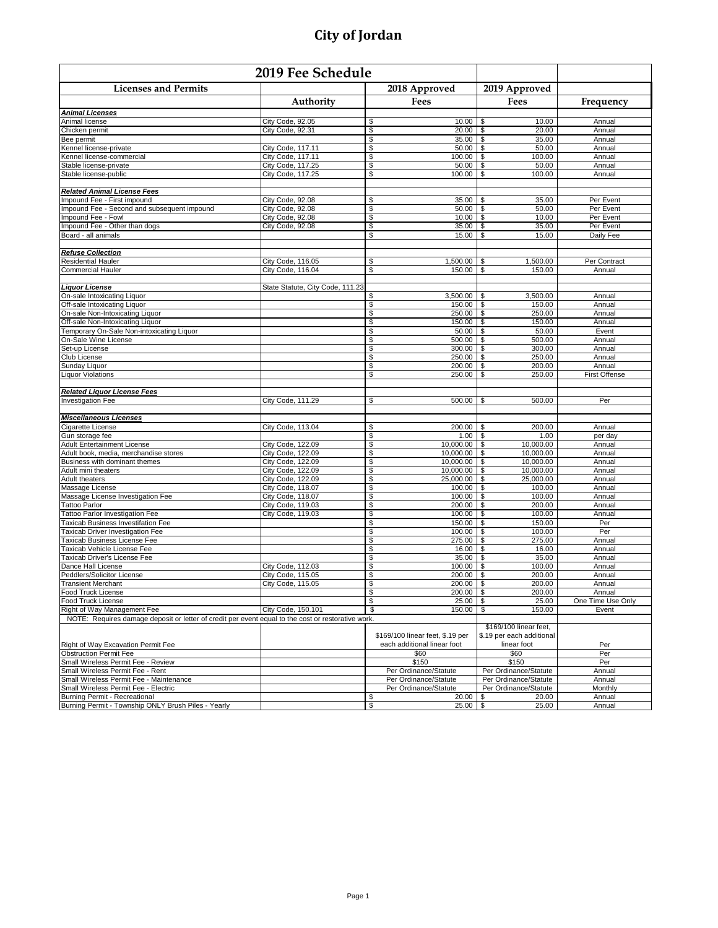| 2019 Fee Schedule                                                                                  |                                      |          |                                                |                                                |                                |
|----------------------------------------------------------------------------------------------------|--------------------------------------|----------|------------------------------------------------|------------------------------------------------|--------------------------------|
| <b>Licenses and Permits</b>                                                                        |                                      |          | 2018 Approved                                  | 2019 Approved                                  |                                |
|                                                                                                    | Authority                            |          | Fees                                           | Fees                                           | Frequency                      |
| <b>Animal Licenses</b>                                                                             |                                      |          |                                                |                                                |                                |
| Animal license                                                                                     | City Code, 92.05                     | \$       | 10.00                                          | 10.00<br>\$                                    | Annual                         |
| Chicken permit                                                                                     | City Code, 92.31                     | \$       | 20.00                                          | \$<br>20.00                                    | Annual                         |
| Bee permit<br>Kennel license-private                                                               | City Code, 117.11                    | \$<br>\$ | 35.00<br>50.00                                 | 35.00<br>\$<br>\$<br>50.00                     | Annual<br>Annual               |
| Kennel license-commercial                                                                          | City Code, 117.11                    | \$       | 100.00                                         | \$<br>100.00                                   | Annual                         |
| Stable license-private                                                                             | City Code, 117.25                    | \$       | 50.00                                          | \$<br>50.00                                    | Annual                         |
| Stable license-public                                                                              | City Code, 117.25                    | \$       | 100.00                                         | 100.00<br>\$                                   | Annual                         |
|                                                                                                    |                                      |          |                                                |                                                |                                |
| <b>Related Animal License Fees</b>                                                                 |                                      |          |                                                |                                                |                                |
| Impound Fee - First impound                                                                        | City Code, 92.08                     | \$       | 35.00                                          | \$<br>35.00                                    | Per Event                      |
| Impound Fee - Second and subsequent impound<br>Impound Fee - Fowl                                  | City Code, 92.08<br>City Code, 92.08 | \$<br>\$ | 50.00<br>10.00                                 | 50.00<br>-\$<br>10.00<br>\$                    | Per Event<br>Per Event         |
| Impound Fee - Other than dogs                                                                      | City Code, 92.08                     | \$       | 35.00                                          | \$<br>35.00                                    | Per Event                      |
| Board - all animals                                                                                |                                      | \$       | 15.00                                          | 15.00<br>\$                                    | Daily Fee                      |
|                                                                                                    |                                      |          |                                                |                                                |                                |
| <b>Refuse Collection</b>                                                                           |                                      |          |                                                |                                                |                                |
| <b>Residential Hauler</b>                                                                          | City Code, 116.05                    | S        | 1,500.00                                       | 1,500.00<br>\$                                 | Per Contract                   |
| <b>Commercial Hauler</b>                                                                           | City Code, 116.04                    | \$       | 150.00                                         | \$<br>150.00                                   | Annual                         |
|                                                                                                    |                                      |          |                                                |                                                |                                |
| <b>Liquor License</b><br>On-sale Intoxicating Liquor                                               | State Statute, City Code, 111.23     | S.       | 3,500.00                                       | 3,500.00<br>-\$                                | Annual                         |
| Off-sale Intoxicating Liquor                                                                       |                                      | \$       | 150.00                                         | 150.00<br>\$                                   | Annual                         |
| On-sale Non-Intoxicating Liquor                                                                    |                                      | \$       | 250.00                                         | \$<br>250.00                                   | Annual                         |
| Off-sale Non-Intoxicating Liquor                                                                   |                                      | \$       | 150.00                                         | 150.00<br>\$                                   | Annual                         |
| Temporary On-Sale Non-intoxicating Liquor                                                          |                                      | \$       | 50.00                                          | 50.00<br>\$                                    | Event                          |
| On-Sale Wine License                                                                               |                                      | \$       | 500.00                                         | \$<br>500.00                                   | Annual                         |
| Set-up License                                                                                     |                                      | \$       | 300.00                                         | 300.00<br>\$                                   | Annual                         |
| Club License                                                                                       |                                      | \$       | 250.00                                         | 250.00<br>\$                                   | Annual                         |
| Sunday Liquor<br><b>Liquor Violations</b>                                                          |                                      | \$<br>\$ | 200.00<br>250.00                               | \$<br>200.00<br>250.00<br>\$                   | Annual<br><b>First Offense</b> |
|                                                                                                    |                                      |          |                                                |                                                |                                |
| <b>Related Liquor License Fees</b>                                                                 |                                      |          |                                                |                                                |                                |
| <b>Investigation Fee</b>                                                                           | City Code, 111.29                    | \$       | 500.00                                         | 500.00<br>\$                                   | Per                            |
|                                                                                                    |                                      |          |                                                |                                                |                                |
| <b>Miscellaneous Licenses</b>                                                                      |                                      |          |                                                |                                                |                                |
| Cigarette License                                                                                  | City Code, 113.04                    | \$       | 200.00                                         | 200.00<br>-\$                                  | Annual                         |
| Gun storage fee<br><b>Adult Entertainment License</b>                                              | City Code, 122.09                    | \$<br>\$ | 1.00<br>10,000.00                              | \$<br>1.00<br>10,000.00<br>-\$                 | per day<br>Annual              |
| Adult book, media, merchandise stores                                                              | City Code, 122.09                    | \$       | 10,000.00                                      | 10,000.00<br>\$                                | Annual                         |
| Business with dominant themes                                                                      | City Code, 122.09                    | \$       | 10,000.00                                      | 10,000.00<br>\$                                | Annual                         |
| Adult mini theaters                                                                                | City Code, 122.09                    | \$       | 10,000.00                                      | 10,000.00<br>\$                                | Annual                         |
| Adult theaters                                                                                     | City Code, 122.09                    | \$       | 25,000.00                                      | 25,000.00<br>\$                                | Annual                         |
| Massage License                                                                                    | City Code, 118.07                    | \$       | 100.00                                         | \$<br>100.00                                   | Annual                         |
| Massage License Investigation Fee                                                                  | City Code, 118.07                    | \$       | 100.00                                         | 100.00<br>\$                                   | Annual                         |
| <b>Tattoo Parlor</b>                                                                               | City Code, 119.03                    | \$       | 200.00                                         | 200.00<br>\$                                   | Annual                         |
| Tattoo Parlor Investigation Fee<br><b>Taxicab Business Investifation Fee</b>                       | City Code, 119.03                    | \$<br>\$ | 100.00<br>150.00                               | \$<br>100.00<br>s,<br>150.00                   | Annual<br>Per                  |
| Taxicab Driver Investigation Fee                                                                   |                                      | \$       | 100.00                                         | \$<br>100.00                                   | Per                            |
| Taxicab Business License Fee                                                                       |                                      | \$       | 275.00                                         | 275.00<br>\$                                   | Annual                         |
| Taxicab Vehicle License Fee                                                                        |                                      | \$       | 16.00                                          | \$<br>16.00                                    | Annual                         |
| Taxicab Driver's License Fee                                                                       |                                      | \$       | 35.00                                          | \$<br>35.00                                    | Annual                         |
| Dance Hall License                                                                                 | City Code, 112.03                    | \$       | 100.00                                         | \$<br>100.00                                   | Annual                         |
| Peddlers/Solicitor License                                                                         | City Code, 115.05                    | \$       | 200.00                                         | 200.00<br>\$                                   | Annual                         |
| <b>Transient Merchant</b><br>Food Truck License                                                    | City Code, 115.05                    | \$       | 200.00                                         | \$<br>200.00                                   | Annual                         |
| Food Truck License                                                                                 |                                      | \$<br>\$ | 200.00 \$<br>25.00                             | 200.00<br>\$<br>25.00                          | Annual<br>One Time Use Only    |
| Right of Way Management Fee                                                                        | City Code, 150.101                   | \$       | 150.00                                         | \$<br>150.00                                   | Event                          |
| NOTE: Requires damage deposit or letter of credit per event equal to the cost or restorative work. |                                      |          |                                                |                                                |                                |
|                                                                                                    |                                      |          |                                                | \$169/100 linear feet,                         |                                |
|                                                                                                    |                                      |          | \$169/100 linear feet, \$.19 per               | \$.19 per each additional                      |                                |
| Right of Way Excavation Permit Fee                                                                 |                                      |          | each additional linear foot                    | linear foot                                    | Per                            |
| <b>Obstruction Permit Fee</b>                                                                      |                                      |          | \$60                                           | \$60                                           | Per                            |
| Small Wireless Permit Fee - Review<br>Small Wireless Permit Fee - Rent                             |                                      |          | \$150                                          | \$150                                          | Per<br>Annual                  |
| Small Wireless Permit Fee - Maintenance                                                            |                                      |          | Per Ordinance/Statute<br>Per Ordinance/Statute | Per Ordinance/Statute<br>Per Ordinance/Statute | Annual                         |
| Small Wireless Permit Fee - Electric                                                               |                                      |          | Per Ordinance/Statute                          | Per Ordinance/Statute                          | Monthly                        |
| Burning Permit - Recreational                                                                      |                                      | \$       | 20.00                                          | 20.00<br>\$                                    | Annual                         |
| Burning Permit - Township ONLY Brush Piles - Yearly                                                |                                      | \$       | $25.00$ \$                                     | 25.00                                          | Annual                         |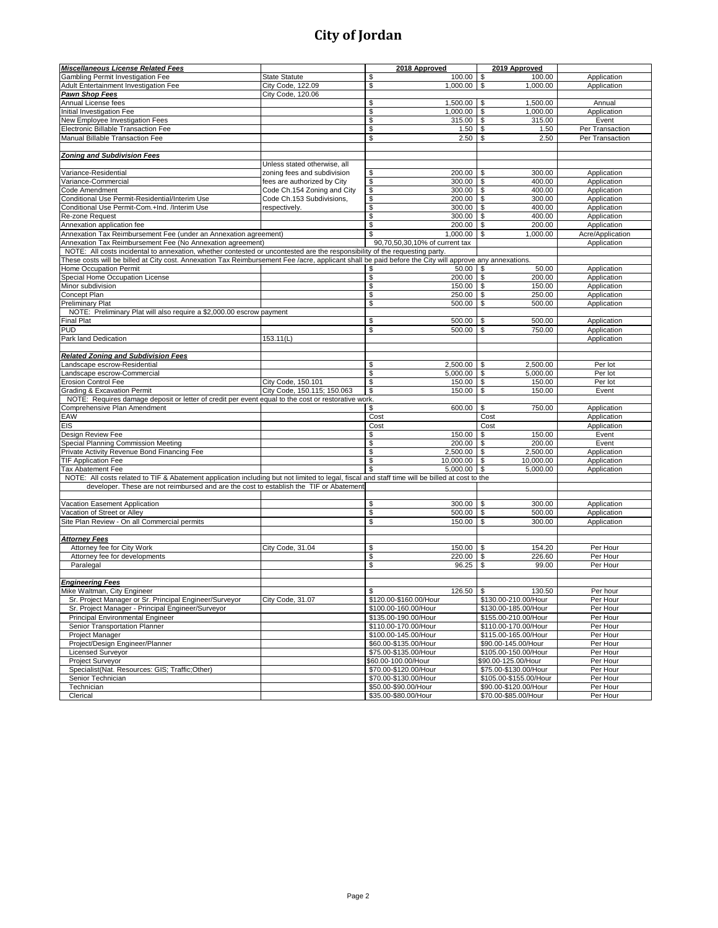| <b>Miscellaneous License Related Fees</b>                                                                                                              |                              | 2018 Approved                  | 2019 Approved          |                  |
|--------------------------------------------------------------------------------------------------------------------------------------------------------|------------------------------|--------------------------------|------------------------|------------------|
| Gambling Permit Investigation Fee                                                                                                                      | <b>State Statute</b>         | 100.00<br>\$                   | 100.00<br>\$           | Application      |
| Adult Entertainment Investigation Fee                                                                                                                  | City Code, 122.09            | \$<br>1,000.00                 | \$<br>1.000.00         | Application      |
| <b>Pawn Shop Fees</b>                                                                                                                                  | City Code, 120.06            |                                |                        |                  |
| Annual License fees                                                                                                                                    |                              | \$<br>1,500.00                 | 1,500.00<br>\$         | Annual           |
| Initial Investigation Fee                                                                                                                              |                              | \$<br>1,000.00                 | \$<br>1,000.00         | Application      |
| New Employee Investigation Fees                                                                                                                        |                              | \$<br>315.00                   | \$<br>315.00           | Event            |
| Electronic Billable Transaction Fee                                                                                                                    |                              | \$<br>1.50                     | \$<br>1.50             | Per Transaction  |
| Manual Billable Transaction Fee                                                                                                                        |                              | \$<br>2.50                     | \$<br>2.50             | Per Transaction  |
|                                                                                                                                                        |                              |                                |                        |                  |
| <b>Zoning and Subdivision Fees</b>                                                                                                                     |                              |                                |                        |                  |
|                                                                                                                                                        | Unless stated otherwise, all |                                |                        |                  |
| Variance-Residential                                                                                                                                   | zoning fees and subdivision  | \$<br>200.00                   | \$<br>300.00           | Application      |
| Variance-Commercial                                                                                                                                    | fees are authorized by City  | 300.00<br>\$                   | 400.00<br>\$           | Application      |
| Code Amendment                                                                                                                                         | Code Ch.154 Zoning and City  | \$<br>300.00                   | \$<br>400.00           | Application      |
| Conditional Use Permit-Residential/Interim Use                                                                                                         | Code Ch.153 Subdivisions,    | \$<br>200.00                   | \$<br>300.00           | Application      |
| Conditional Use Permit-Com.+Ind. /Interim Use                                                                                                          | respectively.                | \$<br>300.00                   | 400.00<br>\$           | Application      |
| Re-zone Request                                                                                                                                        |                              | \$<br>300.00                   | 400.00<br>\$           | Application      |
| Annexation application fee                                                                                                                             |                              | 200.00<br>\$                   | \$<br>200.00           | Application      |
| Annexation Tax Reimbursement Fee (under an Annexation agreement)                                                                                       |                              | \$<br>1,000.00                 | \$<br>1,000.00         | Acre/Application |
| Annexation Tax Reimbursement Fee (No Annexation agreement)                                                                                             |                              | 90,70,50,30,10% of current tax |                        | Application      |
| NOTE: All costs incidental to annexation, whether contested or uncontested are the responsibility of the requesting party.                             |                              |                                |                        |                  |
| These costs will be billed at City cost. Annexation Tax Reimbursement Fee /acre, applicant shall be paid before the City will approve any annexations. |                              |                                |                        |                  |
| Home Occupation Permit                                                                                                                                 |                              | 50.00<br>\$                    | \$<br>50.00            | Application      |
| Special Home Occupation License                                                                                                                        |                              | \$<br>200.00                   | 200.00<br>\$           | Application      |
| Minor subdivision                                                                                                                                      |                              | \$<br>150.00                   | 150.00<br>\$           | Application      |
| Concept Plan                                                                                                                                           |                              | 250.00<br>\$                   | 250.00<br>\$           | Application      |
| <b>Preliminary Plat</b>                                                                                                                                |                              | \$<br>500.00                   | \$<br>500.00           | Application      |
| NOTE: Preliminary Plat will also require a \$2,000.00 escrow payment                                                                                   |                              |                                |                        |                  |
| <b>Final Plat</b>                                                                                                                                      |                              | \$<br>500.00                   | \$<br>500.00           | Application      |
| <b>PUD</b>                                                                                                                                             |                              | 500.00<br>\$                   | \$<br>750.00           | Application      |
| Park land Dedication                                                                                                                                   | 153.11(L)                    |                                |                        | Application      |
|                                                                                                                                                        |                              |                                |                        |                  |
| <b>Related Zoning and Subdivision Fees</b>                                                                                                             |                              |                                |                        |                  |
| Landscape escrow-Residential                                                                                                                           |                              | 2,500.00<br>\$                 | 2,500.00<br>\$         | Per lot          |
| Landscape escrow-Commercial                                                                                                                            |                              | \$<br>5,000.00                 | \$<br>5,000.00         | Per lot          |
| <b>Erosion Control Fee</b>                                                                                                                             | City Code, 150.101           | \$<br>150.00                   | \$<br>150.00           | Per lot          |
| <b>Grading &amp; Excavation Permit</b>                                                                                                                 | City Code, 150.115; 150.063  | 150.00<br>\$                   | 150.00<br>\$           | Event            |
| NOTE: Requires damage deposit or letter of credit per event equal to the cost or restorative work.                                                     |                              |                                |                        |                  |
| Comprehensive Plan Amendment                                                                                                                           |                              | 600.00<br>\$                   | 750.00<br>\$           | Application      |
| EAW                                                                                                                                                    |                              | Cost                           | Cost                   | Application      |
| <b>EIS</b>                                                                                                                                             |                              | Cost                           | Cost                   | Application      |
| Design Review Fee                                                                                                                                      |                              | 150.00<br>\$                   | 150.00<br>\$           | Event            |
| Special Planning Commission Meeting                                                                                                                    |                              | \$<br>200.00                   | \$<br>200.00           | Event            |
| Private Activity Revenue Bond Financing Fee                                                                                                            |                              | \$<br>2,500.00                 | \$<br>2,500.00         | Application      |
| <b>TIF Application Fee</b>                                                                                                                             |                              | 10,000.00<br>\$                | 10,000.00<br>\$        | Application      |
| <b>Tax Abatement Fee</b>                                                                                                                               |                              | 5,000.00<br>\$                 | \$<br>5,000.00         | Application      |
| NOTE: All costs related to TIF & Abatement application including but not limited to legal, fiscal and staff time will be billed at cost to the         |                              |                                |                        |                  |
| developer. These are not reimbursed and are the cost to establish the TIF or Abatement                                                                 |                              |                                |                        |                  |
|                                                                                                                                                        |                              |                                |                        |                  |
| Vacation Easement Application                                                                                                                          |                              | 300.00<br>\$                   | 300.00<br>\$           | Application      |
| Vacation of Street or Alley                                                                                                                            |                              | 500.00<br>\$                   | 500.00<br>\$           | Application      |
| Site Plan Review - On all Commercial permits                                                                                                           |                              | \$<br>150.00                   | \$<br>300.00           | Application      |
|                                                                                                                                                        |                              |                                |                        |                  |
| <b>Attorney Fees</b>                                                                                                                                   |                              |                                |                        |                  |
| Attorney fee for City Work                                                                                                                             | City Code, 31.04             | 150.00<br>\$                   | 154.20<br>\$           | Per Hour         |
| Attorney fee for developments                                                                                                                          |                              | \$<br>220.00                   | \$<br>226.60           | Per Hour         |
| Paralegal                                                                                                                                              |                              | \$<br>96.25                    | \$<br>99.00            | Per Hour         |
|                                                                                                                                                        |                              |                                |                        |                  |
| <b>Engineering Fees</b>                                                                                                                                |                              |                                |                        |                  |
| Mike Waltman, City Engineer                                                                                                                            |                              | $126.50$ \$<br>\$              | 130.50                 | Per hour         |
| Sr. Project Manager or Sr. Principal Engineer/Surveyor                                                                                                 | City Code, 31.07             | \$120.00-\$160.00/Hour         | \$130.00-210.00/Hour   | Per Hour         |
| Sr. Project Manager - Principal Engineer/Surveyor                                                                                                      |                              | \$100.00-160.00/Hour           | \$130.00-185.00/Hour   | Per Hour         |
| Principal Environmental Engineer                                                                                                                       |                              | \$135.00-190.00/Hour           | \$155.00-210.00/Hour   | Per Hour         |
| Senior Transportation Planner                                                                                                                          |                              | \$110.00-170.00/Hour           | \$110.00-170.00/Hour   | Per Hour         |
| Project Manager                                                                                                                                        |                              | \$100.00-145.00/Hour           | \$115.00-165.00/Hour   | Per Hour         |
| Project/Design Engineer/Planner                                                                                                                        |                              | \$60.00-\$135.00/Hour          | \$90.00-145.00/Hour    | Per Hour         |
| Licensed Surveyor                                                                                                                                      |                              | \$75.00-\$135.00/Hour          | \$105.00-150.00/Hour   | Per Hour         |
| Project Surveyor                                                                                                                                       |                              | \$60.00-100.00/Hour            | \$90.00-125.00/Hour    | Per Hour         |
| Specialist(Nat. Resources: GIS; Traffic;Other)                                                                                                         |                              | \$70.00-\$120.00/Hour          | \$75.00-\$130.00/Hour  | Per Hour         |
| Senior Technician                                                                                                                                      |                              | \$70.00-\$130.00/Hour          | \$105.00-\$155.00/Hour | Per Hour         |
| Technician                                                                                                                                             |                              | \$50.00-\$90.00/Hour           | \$90.00-\$120.00/Hour  | Per Hour         |
| Clerical                                                                                                                                               |                              | \$35.00-\$80.00/Hour           | \$70.00-\$85.00/Hour   | Per Hour         |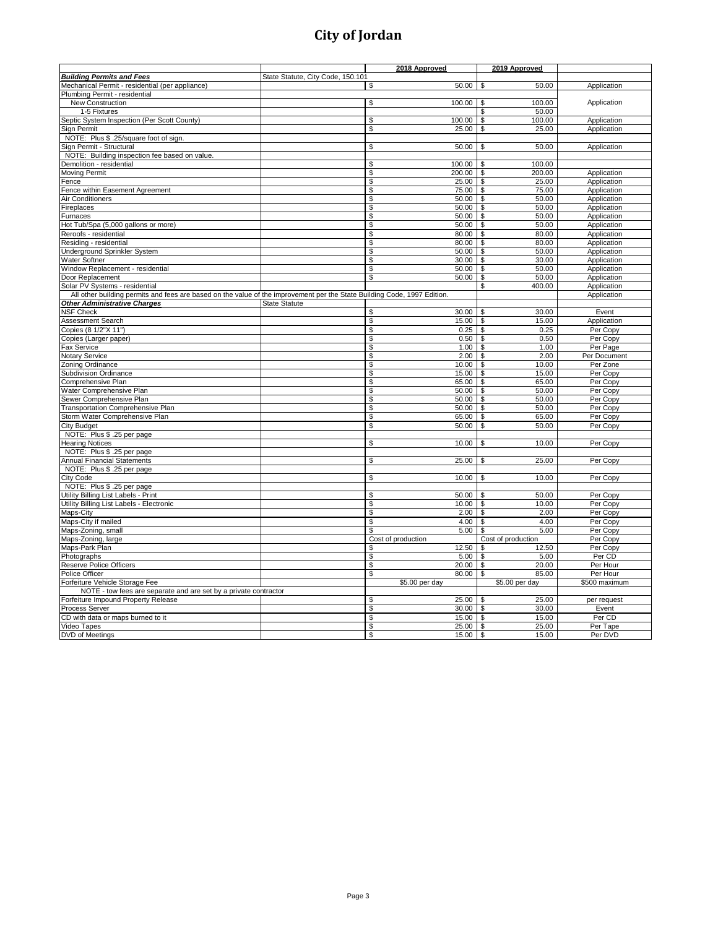|                                                                                                                          |                                   | 2018 Approved        | 2019 Approved        |                            |
|--------------------------------------------------------------------------------------------------------------------------|-----------------------------------|----------------------|----------------------|----------------------------|
| <b>Building Permits and Fees</b>                                                                                         | State Statute, City Code, 150.101 |                      |                      |                            |
| Mechanical Permit - residential (per appliance)                                                                          |                                   | 50.00<br>\$          | \$<br>50.00          | Application                |
| Plumbing Permit - residential                                                                                            |                                   |                      |                      |                            |
| New Construction                                                                                                         |                                   | \$<br>100.00         | 100.00<br>-\$        | Application                |
| 1-5 Fixtures                                                                                                             |                                   |                      | 50.00<br>\$          |                            |
| Septic System Inspection (Per Scott County)                                                                              |                                   | 100.00<br>\$         | \$<br>100.00         | Application                |
| Sign Permit                                                                                                              |                                   | 25.00<br>\$          | 25.00<br>\$          | Application                |
| NOTE: Plus \$ .25/square foot of sign                                                                                    |                                   |                      |                      |                            |
| Sign Permit - Structural                                                                                                 |                                   | \$<br>50.00          | 50.00<br>\$          | Application                |
| NOTE: Building inspection fee based on value.                                                                            |                                   |                      |                      |                            |
| Demolition - residential                                                                                                 |                                   | 100.00<br>\$.        | 100.00<br>-\$        |                            |
| <b>Moving Permit</b>                                                                                                     |                                   | \$<br>200.00         | \$<br>200.00         | Application                |
| Fence                                                                                                                    |                                   | 25.00<br>\$          | \$<br>25.00          | Application                |
| Fence within Easement Agreement                                                                                          |                                   | 75.00<br>\$          | 75.00<br>\$          | Application                |
| Air Conditioners                                                                                                         |                                   | 50.00<br>\$          | 50.00<br>\$          | Application                |
| Fireplaces                                                                                                               |                                   | 50.00<br>\$<br>50.00 | 50.00<br>\$          | Application                |
| Furnaces                                                                                                                 |                                   | \$<br>50.00<br>\$    | \$<br>50.00<br>50.00 | Application                |
| Hot Tub/Spa (5,000 gallons or more)<br>Reroofs - residential                                                             |                                   | \$<br>80.00          | \$<br>\$<br>80.00    | Application                |
| Residing - residential                                                                                                   |                                   | \$<br>80.00          | 80.00<br>\$          | Application<br>Application |
| Underground Sprinkler System                                                                                             |                                   | \$<br>50.00          | \$<br>50.00          | Application                |
| <b>Water Softner</b>                                                                                                     |                                   | \$<br>30.00          | 30.00<br>\$          | Application                |
| Window Replacement - residential                                                                                         |                                   | \$<br>50.00          | 50.00<br>\$          | Application                |
| Door Replacement                                                                                                         |                                   | 50.00<br>\$          | 50.00<br>\$          | Application                |
| Solar PV Systems - residential                                                                                           |                                   |                      | 400.00<br>\$         | Application                |
| All other building permits and fees are based on the value of the improvement per the State Building Code, 1997 Edition. |                                   |                      |                      | Application                |
| <b>Other Administrative Charges</b>                                                                                      | <b>State Statute</b>              |                      |                      |                            |
| <b>NSF Check</b>                                                                                                         |                                   | 30.00<br>S           | 30.00<br>\$          | Event                      |
| Assessment Search                                                                                                        |                                   | 15.00<br>\$          | \$<br>15.00          | Application                |
| Copies (8 1/2"X 11")                                                                                                     |                                   | 0.25<br>\$           | 0.25<br>\$           | Per Copy                   |
| Copies (Larger paper)                                                                                                    |                                   | 0.50<br>\$           | \$<br>0.50           | Per Copy                   |
| Fax Service                                                                                                              |                                   | \$<br>1.00           | 1.00<br>\$           | Per Page                   |
| Notary Service                                                                                                           |                                   | 2.00<br>\$           | 2.00<br>\$           | Per Document               |
| Zoning Ordinance                                                                                                         |                                   | 10.00<br>\$          | \$<br>10.00          | Per Zone                   |
| Subdivision Ordinance                                                                                                    |                                   | 15.00<br>\$          | 15.00<br>\$          | Per Copy                   |
| Comprehensive Plan                                                                                                       |                                   | \$<br>65.00          | \$<br>65.00          | Per Copy                   |
| Water Comprehensive Plan                                                                                                 |                                   | 50.00<br>\$          | 50.00<br>\$          | Per Copy                   |
| Sewer Comprehensive Plan                                                                                                 |                                   | 50.00<br>\$          | 50.00<br>\$          | Per Copy                   |
| Transportation Comprehensive Plan                                                                                        |                                   | \$<br>50.00          | 50.00<br>\$          | Per Copy                   |
| Storm Water Comprehensive Plan                                                                                           |                                   | 65.00<br>\$          | 65.00<br>\$          | Per Copy                   |
| <b>City Budget</b>                                                                                                       |                                   | 50.00<br>\$          | 50.00<br>\$          | Per Copy                   |
| NOTE: Plus \$ .25 per page                                                                                               |                                   |                      |                      |                            |
| Hearing Notices                                                                                                          |                                   | \$<br>10.00          | 10.00<br>\$          | Per Copy                   |
| NOTE: Plus \$ .25 per page                                                                                               |                                   |                      |                      |                            |
| <b>Annual Financial Statements</b>                                                                                       |                                   | 25.00<br>\$          | 25.00<br>\$          | Per Copy                   |
| NOTE: Plus \$ .25 per page                                                                                               |                                   | \$<br>10.00          | 10.00                |                            |
| City Code                                                                                                                |                                   |                      | \$                   | Per Copy                   |
| NOTE: Plus \$ .25 per page<br>Utility Billing List Labels - Print                                                        |                                   | 50.00<br>\$          | 50.00<br>- \$        | Per Copy                   |
| Utility Billing List Labels - Electronic                                                                                 |                                   | \$<br>10.00          | \$<br>10.00          | Per Copy                   |
| Maps-City                                                                                                                |                                   | \$<br>2.00           | 2.00<br>\$           | Per Copy                   |
| Maps-City if mailed                                                                                                      |                                   | 4.00<br>\$           | 4.00<br>\$           | Per Copy                   |
| Maps-Zoning, small                                                                                                       |                                   | 5.00<br>\$.          | 5.00<br>\$           | Per Copy                   |
| Maps-Zoning, large                                                                                                       |                                   | Cost of production   | Cost of production   | Per Copy                   |
| Maps-Park Plan                                                                                                           |                                   | 12.50<br>\$          | 12.50<br>\$          | Per Copy                   |
| Photographs                                                                                                              |                                   | 5.00<br>\$           | 5.00<br>\$           | Per CD                     |
| Reserve Police Officers                                                                                                  |                                   | 20.00<br>\$          | \$<br>20.00          | Per Hour                   |
| Police Officer                                                                                                           |                                   | \$<br>80.00          | \$<br>85.00          | Per Hour                   |
| Forfeiture Vehicle Storage Fee                                                                                           |                                   | \$5.00 per day       | \$5.00 per day       | \$500 maximum              |
| NOTE - tow fees are separate and are set by a private contractor                                                         |                                   |                      |                      |                            |
| Forfeiture Impound Property Release                                                                                      |                                   | 25.00<br>\$          | 25.00<br>\$          | per request                |
| <b>Process Server</b>                                                                                                    |                                   | \$<br>30.00          | 30.00<br>\$          | Event                      |
| CD with data or maps burned to it                                                                                        |                                   | 15.00<br>\$          | 15.00<br>\$          | Per CD                     |
| Video Tapes                                                                                                              |                                   | 25.00<br>\$          | 25.00<br>\$          | Per Tape                   |
| DVD of Meetings                                                                                                          |                                   | \$<br>15.00          | \$<br>15.00          | Per DVD                    |